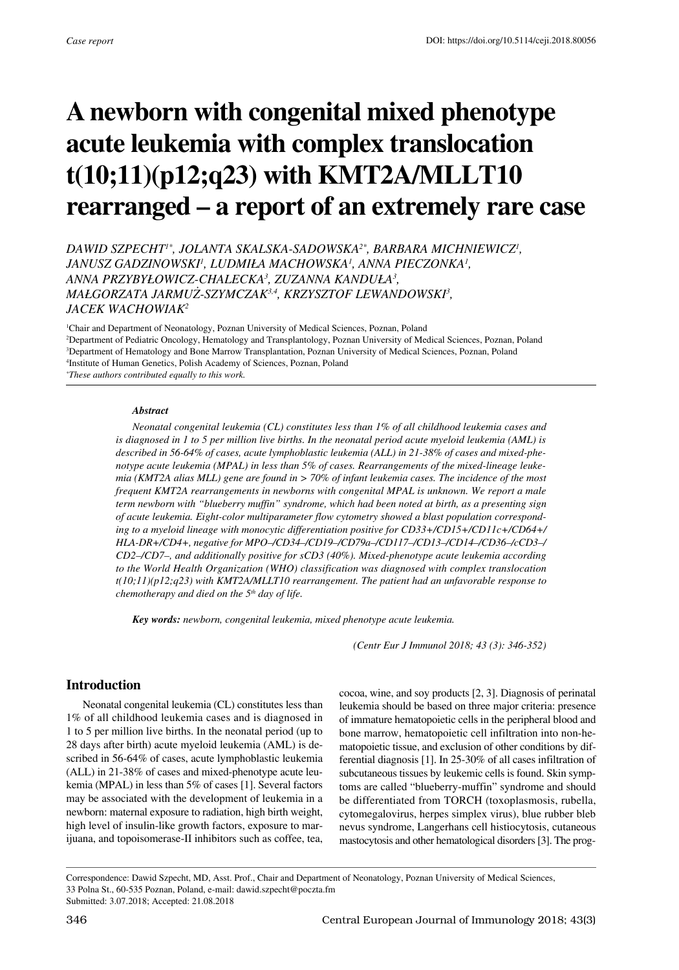# **A newborn with congenital mixed phenotype acute leukemia with complex translocation t(10;11)(p12;q23) with KMT2A/MLLT10 rearranged – a report of an extremely rare case**

*Dawid Szpecht1\*, Jolanta Skalska-Sadowska2\*, Barbara Michniewicz1 , Janusz Gadzinowski1 , Ludmiła Machowska<sup>1</sup> , Anna Pieczonka1 , Anna Przybyłowicz-Chalecka<sup>3</sup> , Zuzanna Kanduła<sup>3</sup> , Małgorzata Jarmuż-Szymczak3,4, Krzysztof Lewandowski3 , Jacek Wachowiak2*

 Chair and Department of Neonatology, Poznan University of Medical Sciences, Poznan, Poland Department of Pediatric Oncology, Hematology and Transplantology, Poznan University of Medical Sciences, Poznan, Poland Department of Hematology and Bone Marrow Transplantation, Poznan University of Medical Sciences, Poznan, Poland Institute of Human Genetics, Polish Academy of Sciences, Poznan, Poland *\* These authors contributed equally to this work.*

#### *Abstract*

*Neonatal congenital leukemia (CL) constitutes less than 1% of all childhood leukemia cases and is diagnosed in 1 to 5 per million live births. In the neonatal period acute myeloid leukemia (AML) is described in 56-64% of cases, acute lymphoblastic leukemia (ALL) in 21-38% of cases and mixed-phenotype acute leukemia (MPAL) in less than 5% of cases. Rearrangements of the mixed-lineage leukemia (KMT2A alias MLL) gene are found in > 70% of infant leukemia cases. The incidence of the most frequent KMT2A rearrangements in newborns with congenital MPAL is unknown. We report a male term newborn with "blueberry muffin" syndrome, which had been noted at birth, as a presenting sign of acute leukemia. Eight-color multiparameter flow cytometry showed a blast population corresponding to a myeloid lineage with monocytic differentiation positive for CD33+/CD15+/CD11c+/CD64+/ HLA-DR+/CD4+, negative for MPO–/CD34–/CD19–/CD79a–/CD117–/CD13–/CD14–/CD36–/cCD3–/ CD2–/CD7–, and additionally positive for sCD3 (40%). Mixed-phenotype acute leukemia according to the World Health Organization (WHO) classification was diagnosed with complex translocation t(10;11)(p12;q23) with KMT2A/MLLT10 rearrangement. The patient had an unfavorable response to chemotherapy and died on the 5th day of life.*

*Key words: newborn, congenital leukemia, mixed phenotype acute leukemia.*

*(Centr Eur J Immunol 2018; 43 (3): 346-352)*

#### **Introduction**

Neonatal congenital leukemia (CL) constitutes less than 1% of all childhood leukemia cases and is diagnosed in 1 to 5 per million live births. In the neonatal period (up to 28 days after birth) acute myeloid leukemia (AML) is described in 56-64% of cases, acute lymphoblastic leukemia (ALL) in 21-38% of cases and mixed-phenotype acute leukemia (MPAL) in less than 5% of cases [1]. Several factors may be associated with the development of leukemia in a newborn: maternal exposure to radiation, high birth weight, high level of insulin-like growth factors, exposure to marijuana, and topoisomerase-II inhibitors such as coffee, tea, cocoa, wine, and soy products [2, 3]. Diagnosis of perinatal leukemia should be based on three major criteria: presence of immature hematopoietic cells in the peripheral blood and bone marrow, hematopoietic cell infiltration into non-hematopoietic tissue, and exclusion of other conditions by differential diagnosis [1]. In 25-30% of all cases infiltration of subcutaneous tissues by leukemic cells is found. Skin symptoms are called "blueberry-muffin" syndrome and should be differentiated from TORCH (toxoplasmosis, rubella, cytomegalovirus, herpes simplex virus), blue rubber bleb nevus syndrome, Langerhans cell histiocytosis, cutaneous mastocytosis and other hematological disorders [3]. The prog-

Correspondence: Dawid Szpecht, MD, Asst. Prof., Chair and Department of Neonatology, Poznan University of Medical Sciences, 33 Polna St., 60-535 Poznan, Poland, e-mail: dawid.szpecht@poczta.fm Submitted: 3.07.2018; Accepted: 21.08.2018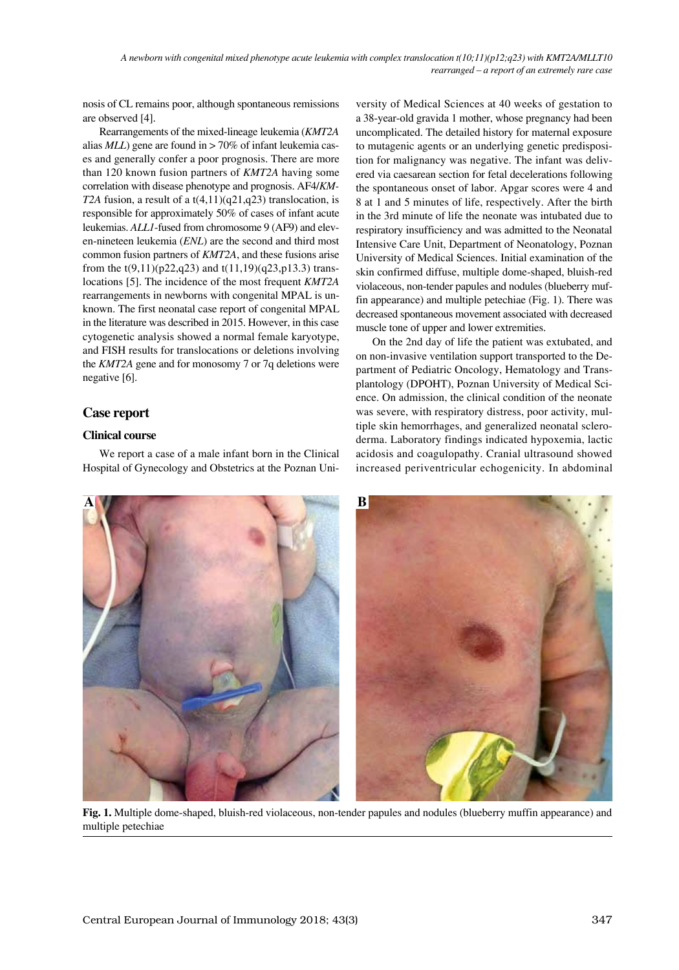nosis of CL remains poor, although spontaneous remissions are observed [4].

Rearrangements of the mixed-lineage leukemia (*KMT2A* alias *MLL*) gene are found in > 70% of infant leukemia cases and generally confer a poor prognosis. There are more than 120 known fusion partners of *KMT2A* having some correlation with disease phenotype and prognosis. AF4/*KM-T2A* fusion, a result of a  $t(4,11)(q21,q23)$  translocation, is responsible for approximately 50% of cases of infant acute leukemias. *ALL1*-fused from chromosome 9 (AF9) and eleven-nineteen leukemia (*ENL*) are the second and third most common fusion partners of *KMT2A*, and these fusions arise from the  $t(9,11)(p22,q23)$  and  $t(11,19)(q23,p13.3)$  translocations [5]. The incidence of the most frequent *KMT2A* rearrangements in newborns with congenital MPAL is unknown. The first neonatal case report of congenital MPAL in the literature was described in 2015. However, in this case cytogenetic analysis showed a normal female karyotype, and FISH results for translocations or deletions involving the *KMT2A* gene and for monosomy 7 or 7q deletions were negative [6].

# **Case report**

## **Clinical course**

We report a case of a male infant born in the Clinical Hospital of Gynecology and Obstetrics at the Poznan University of Medical Sciences at 40 weeks of gestation to a 38-year-old gravida 1 mother, whose pregnancy had been uncomplicated. The detailed history for maternal exposure to mutagenic agents or an underlying genetic predisposition for malignancy was negative. The infant was delivered via caesarean section for fetal decelerations following the spontaneous onset of labor. Apgar scores were 4 and 8 at 1 and 5 minutes of life, respectively. After the birth in the 3rd minute of life the neonate was intubated due to respiratory insufficiency and was admitted to the Neonatal Intensive Care Unit, Department of Neonatology, Poznan University of Medical Sciences. Initial examination of the skin confirmed diffuse, multiple dome-shaped, bluish-red violaceous, non-tender papules and nodules (blueberry muffin appearance) and multiple petechiae (Fig. 1). There was decreased spontaneous movement associated with decreased muscle tone of upper and lower extremities.

On the 2nd day of life the patient was extubated, and on non-invasive ventilation support transported to the Department of Pediatric Oncology, Hematology and Transplantology (DPOHT), Poznan University of Medical Science. On admission, the clinical condition of the neonate was severe, with respiratory distress, poor activity, multiple skin hemorrhages, and generalized neonatal scleroderma. Laboratory findings indicated hypoxemia, lactic acidosis and coagulopathy. Cranial ultrasound showed increased periventricular echogenicity. In abdominal



**Fig. 1.** Multiple dome-shaped, bluish-red violaceous, non-tender papules and nodules (blueberry muffin appearance) and multiple petechiae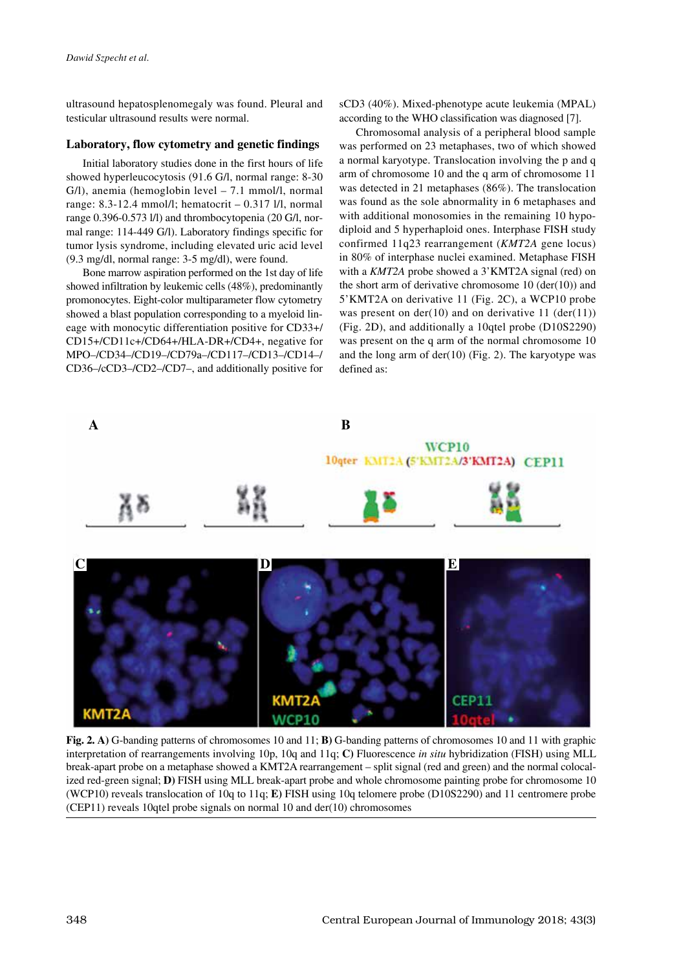ultrasound hepatosplenomegaly was found. Pleural and testicular ultrasound results were normal.

#### **Laboratory, flow cytometry and genetic findings**

Initial laboratory studies done in the first hours of life showed hyperleucocytosis (91.6 G/l, normal range: 8-30 G/l), anemia (hemoglobin level – 7.1 mmol/l, normal range: 8.3-12.4 mmol/l; hematocrit – 0.317 l/l, normal range 0.396-0.573 l/l) and thrombocytopenia (20 G/l, normal range: 114-449 G/l). Laboratory findings specific for tumor lysis syndrome, including elevated uric acid level (9.3 mg/dl, normal range: 3-5 mg/dl), were found.

Bone marrow aspiration performed on the 1st day of life showed infiltration by leukemic cells (48%), predominantly promonocytes. Eight-color multiparameter flow cytometry showed a blast population corresponding to a myeloid lineage with monocytic differentiation positive for CD33+/ CD15+/CD11c+/CD64+/HLA-DR+/CD4+, negative for MPO–/CD34–/CD19–/CD79a–/CD117–/CD13–/CD14–/ CD36–/cCD3–/CD2–/CD7–, and additionally positive for sCD3 (40%). Mixed-phenotype acute leukemia (MPAL) according to the WHO classification was diagnosed [7].

Chromosomal analysis of a peripheral blood sample was performed on 23 metaphases, two of which showed a normal karyotype. Translocation involving the p and q arm of chromosome 10 and the q arm of chromosome 11 was detected in 21 metaphases (86%). The translocation was found as the sole abnormality in 6 metaphases and with additional monosomies in the remaining 10 hypodiploid and 5 hyperhaploid ones. Interphase FISH study confirmed 11q23 rearrangement (*KMT2A* gene locus) in 80% of interphase nuclei examined. Metaphase FISH with a *KMT2A* probe showed a 3'KMT2A signal (red) on the short arm of derivative chromosome  $10$  (der(10)) and 5'KMT2A on derivative 11 (Fig. 2C), a WCP10 probe was present on  $der(10)$  and on derivative 11  $(der(11))$ (Fig. 2D), and additionally a 10qtel probe (D10S2290) was present on the q arm of the normal chromosome 10 and the long arm of der(10) (Fig. 2). The karyotype was defined as:



**Fig. 2. A)** G-banding patterns of chromosomes 10 and 11; **B)** G-banding patterns of chromosomes 10 and 11 with graphic interpretation of rearrangements involving 10p, 10q and 11q; **C)** Fluorescence *in situ* hybridization (FISH) using MLL break-apart probe on a metaphase showed a KMT2A rearrangement – split signal (red and green) and the normal colocalized red-green signal; **D)** FISH using MLL break-apart probe and whole chromosome painting probe for chromosome 10 (WCP10) reveals translocation of 10q to 11q; **E)** FISH using 10q telomere probe (D10S2290) and 11 centromere probe (CEP11) reveals 10qtel probe signals on normal 10 and der(10) chromosomes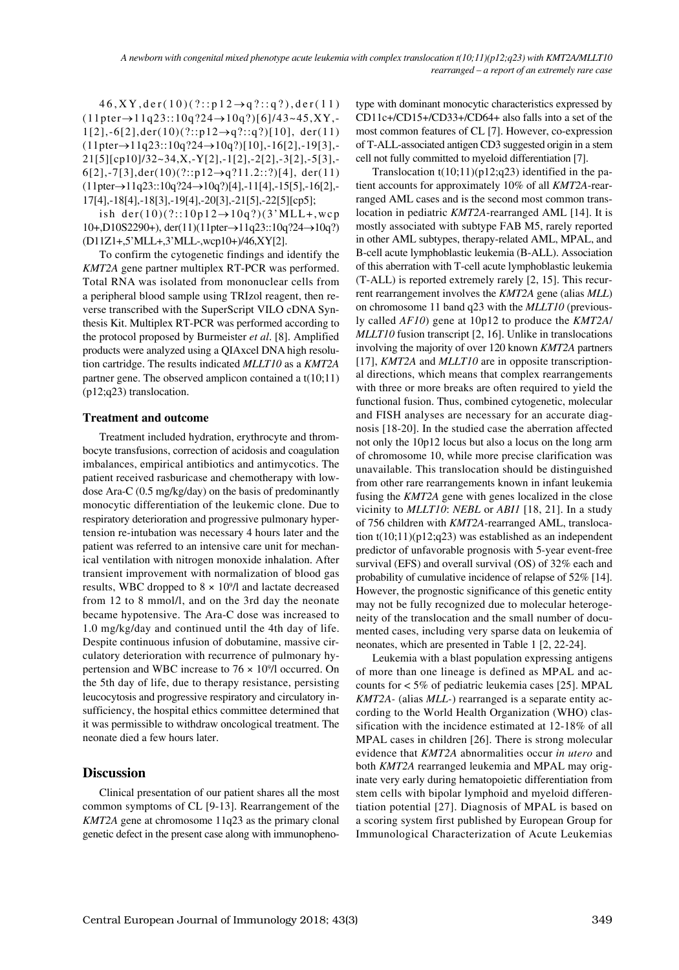$46, XY, der(10)(?::p12 \rightarrow q?::q?), der(11)$  $(11pter \rightarrow 11q23::10q?24 \rightarrow 10q?)[6]/43 \sim 45, XY, 1[2]$ ,-6[2],der(10)(?::p12→q?::q?)[10],der(11)  $(11pter \rightarrow 11q23::10q?24 \rightarrow 10q?)[10]$ ,-16[2],-19[3],-21[5][cp10]/32~34,X,-Y[2],-1[2],-2[2],-3[2],-5[3],-  $6[2]$ ,-7[3],der(10)(?::p12→q?11.2::?)[4], der(11) (11pter→11q23::10q?24→10q?)[4],-11[4],-15[5],-16[2],- 17[4],-18[4],-18[3],-19[4],-20[3],-21[5],-22[5][cp5];

ish der(10)(?::10p12 $\rightarrow$ 10q?)(3'MLL+,wcp 10+,D10S2290+), der(11)(11pter→11q23::10q?24→10q?) (D11Z1+,5'MLL+,3'MLL-,wcp10+)/46,XY[2].

To confirm the cytogenetic findings and identify the *KMT2A* gene partner multiplex RT-PCR was performed. Total RNA was isolated from mononuclear cells from a peripheral blood sample using TRIzol reagent, then reverse transcribed with the SuperScript VILO cDNA Synthesis Kit. Multiplex RT-PCR was performed according to the protocol proposed by Burmeister *et al*. [8]. Amplified products were analyzed using a QIAxcel DNA high resolution cartridge. The results indicated *MLLT10* as a *KMT2A* partner gene. The observed amplicon contained a t(10;11) (p12;q23) translocation.

#### **Treatment and outcome**

Treatment included hydration, erythrocyte and thrombocyte transfusions, correction of acidosis and coagulation imbalances, empirical antibiotics and antimycotics. The patient received rasburicase and chemotherapy with lowdose Ara-C (0.5 mg/kg/day) on the basis of predominantly monocytic differentiation of the leukemic clone. Due to respiratory deterioration and progressive pulmonary hypertension re-intubation was necessary 4 hours later and the patient was referred to an intensive care unit for mechanical ventilation with nitrogen monoxide inhalation. After transient improvement with normalization of blood gas results, WBC dropped to 8 × 109 /l and lactate decreased from 12 to 8 mmol/l, and on the 3rd day the neonate became hypotensive. The Ara-C dose was increased to 1.0 mg/kg/day and continued until the 4th day of life. Despite continuous infusion of dobutamine, massive circulatory deterioration with recurrence of pulmonary hypertension and WBC increase to  $76 \times 10^9$ /l occurred. On the 5th day of life, due to therapy resistance, persisting leucocytosis and progressive respiratory and circulatory insufficiency, the hospital ethics committee determined that it was permissible to withdraw oncological treatment. The neonate died a few hours later.

### **Discussion**

Clinical presentation of our patient shares all the most common symptoms of CL [9-13]. Rearrangement of the *KMT2A* gene at chromosome 11q23 as the primary clonal genetic defect in the present case along with immunophenotype with dominant monocytic characteristics expressed by CD11c+/CD15+/CD33+/CD64+ also falls into a set of the most common features of CL [7]. However, co-expression of T-ALL-associated antigen CD3 suggested origin in a stem cell not fully committed to myeloid differentiation [7].

Translocation  $t(10;11)(p12;q23)$  identified in the patient accounts for approximately 10% of all *KMT2A*-rearranged AML cases and is the second most common translocation in pediatric *KMT2A*-rearranged AML [14]. It is mostly associated with subtype FAB M5, rarely reported in other AML subtypes, therapy-related AML, MPAL, and B-cell acute lymphoblastic leukemia (B-ALL). Association of this aberration with T-cell acute lymphoblastic leukemia (T-ALL) is reported extremely rarely [2, 15]. This recurrent rearrangement involves the *KMT2A* gene (alias *MLL*) on chromosome 11 band q23 with the *MLLT10* (previously called *AF10*) gene at 10p12 to produce the *KMT2A*/ *MLLT10* fusion transcript [2, 16]. Unlike in translocations involving the majority of over 120 known *KMT2A* partners [17], *KMT2A* and *MLLT10* are in opposite transcriptional directions, which means that complex rearrangements with three or more breaks are often required to yield the functional fusion. Thus, combined cytogenetic, molecular and FISH analyses are necessary for an accurate diagnosis [18-20]. In the studied case the aberration affected not only the 10p12 locus but also a locus on the long arm of chromosome 10, while more precise clarification was unavailable. This translocation should be distinguished from other rare rearrangements known in infant leukemia fusing the *KMT2A* gene with genes localized in the close vicinity to *MLLT10*: *NEBL* or *ABI1* [18, 21]. In a study of 756 children with *KMT2A-*rearranged AML, translocation  $t(10;11)(p12;q23)$  was established as an independent predictor of unfavorable prognosis with 5-year event-free survival (EFS) and overall survival (OS) of 32% each and probability of cumulative incidence of relapse of 52% [14]. However, the prognostic significance of this genetic entity may not be fully recognized due to molecular heterogeneity of the translocation and the small number of documented cases, including very sparse data on leukemia of neonates, which are presented in Table 1 [2, 22-24].

Leukemia with a blast population expressing antigens of more than one lineage is defined as MPAL and accounts for < 5% of pediatric leukemia cases [25]. MPAL *KMT2A-* (alias *MLL-*) rearranged is a separate entity according to the World Health Organization (WHO) classification with the incidence estimated at 12-18% of all MPAL cases in children [26]. There is strong molecular evidence that *KMT2A* abnormalities occur *in utero* and both *KMT2A* rearranged leukemia and MPAL may originate very early during hematopoietic differentiation from stem cells with bipolar lymphoid and myeloid differentiation potential [27]. Diagnosis of MPAL is based on a scoring system first published by European Group for Immunological Characterization of Acute Leukemias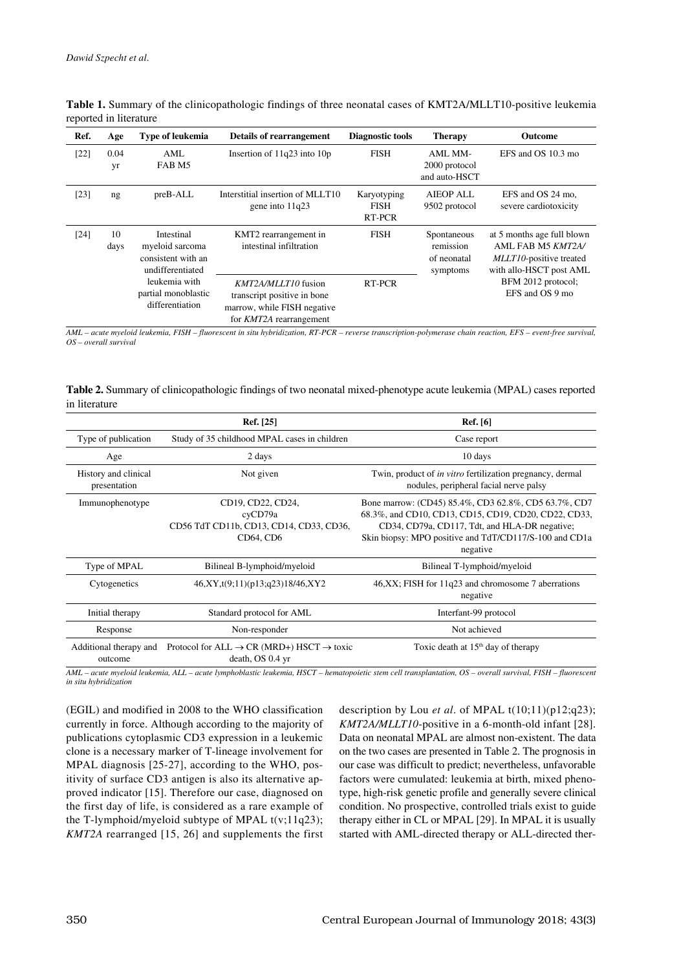| Ref.   | Age        | <b>Type of leukemia</b>                                                 | Details of rearrangement                                                                                            | Diagnostic tools                     | <b>Therapy</b>                                      | Outcome                                                                                               |
|--------|------------|-------------------------------------------------------------------------|---------------------------------------------------------------------------------------------------------------------|--------------------------------------|-----------------------------------------------------|-------------------------------------------------------------------------------------------------------|
| [22]   | 0.04<br>yr | AML<br>FAB M5                                                           | Insertion of $11q23$ into $10p$                                                                                     | <b>FISH</b>                          | AML MM-<br>2000 protocol<br>and auto-HSCT           | EFS and OS 10.3 mo                                                                                    |
| [23]   | ng         | $preB-ALL$                                                              | Interstitial insertion of MLLT10<br>gene into 11q23                                                                 | Karyotyping<br><b>FISH</b><br>RT-PCR | <b>AIEOP ALL</b><br>9502 protocol                   | EFS and OS 24 mo,<br>severe cardiotoxicity                                                            |
| $[24]$ | 10<br>days | Intestinal<br>myeloid sarcoma<br>consistent with an<br>undifferentiated | KMT2 rearrangement in<br>intestinal infiltration                                                                    | <b>FISH</b>                          | Spontaneous<br>remission<br>of neonatal<br>symptoms | at 5 months age full blown<br>AML FAB M5 KMT2A/<br>MLLT10-positive treated<br>with allo-HSCT post AML |
|        |            | leukemia with<br>partial monoblastic<br>differentiation                 | KMT2A/MLLT10 fusion<br>transcript positive in bone<br>marrow, while FISH negative<br>for <i>KMT2A</i> rearrangement | <b>RT-PCR</b>                        |                                                     | BFM 2012 protocol;<br>EFS and OS 9 mo                                                                 |

**Table 1.** Summary of the clinicopathologic findings of three neonatal cases of KMT2A/MLLT10-positive leukemia reported in literature

*AML – acute myeloid leukemia, FISH – fluorescent in situ hybridization, RT-PCR – reverse transcription-polymerase chain reaction, EFS – event-free survival, OS – overall survival*

**Table 2.** Summary of clinicopathologic findings of two neonatal mixed-phenotype acute leukemia (MPAL) cases reported in literature

|                                      | Ref. [25]                                                                             | Ref. [6]                                                                                                                                                                                                                            |  |
|--------------------------------------|---------------------------------------------------------------------------------------|-------------------------------------------------------------------------------------------------------------------------------------------------------------------------------------------------------------------------------------|--|
| Type of publication                  | Study of 35 childhood MPAL cases in children                                          | Case report                                                                                                                                                                                                                         |  |
| Age                                  | 2 days                                                                                | 10 days                                                                                                                                                                                                                             |  |
| History and clinical<br>presentation | Not given                                                                             | Twin, product of <i>in vitro</i> fertilization pregnancy, dermal<br>nodules, peripheral facial nerve palsy                                                                                                                          |  |
| Immunophenotype                      | CD19, CD22, CD24,<br>cyCD79a<br>CD56 TdT CD11b, CD13, CD14, CD33, CD36,<br>CD64, CD6  | Bone marrow: (CD45) 85.4%, CD3 62.8%, CD5 63.7%, CD7<br>68.3%, and CD10, CD13, CD15, CD19, CD20, CD22, CD33,<br>CD34, CD79a, CD117, Tdt, and HLA-DR negative;<br>Skin biopsy: MPO positive and TdT/CD117/S-100 and CD1a<br>negative |  |
| Type of MPAL                         | Bilineal B-lymphoid/myeloid                                                           | Bilineal T-lymphoid/myeloid                                                                                                                                                                                                         |  |
| Cytogenetics                         | 46,XY,t(9;11)(p13;q23)18/46,XY2                                                       | 46, XX; FISH for 11q23 and chromosome 7 aberrations<br>negative                                                                                                                                                                     |  |
| Initial therapy                      | Standard protocol for AML                                                             | Interfant-99 protocol                                                                                                                                                                                                               |  |
| Response                             | Non-responder                                                                         | Not achieved                                                                                                                                                                                                                        |  |
| Additional therapy and<br>outcome    | Protocol for ALL $\rightarrow$ CR (MRD+) HSCT $\rightarrow$ toxic<br>death, OS 0.4 yr | Toxic death at $15th$ day of therapy                                                                                                                                                                                                |  |

*AML – acute myeloid leukemia, ALL – acute lymphoblastic leukemia, HSCT – hematopoietic stem cell transplantation, OS – overall survival, FISH – fluorescent in situ hybridization*

(EGIL) and modified in 2008 to the WHO classification currently in force. Although according to the majority of publications cytoplasmic CD3 expression in a leukemic clone is a necessary marker of T-lineage involvement for MPAL diagnosis [25-27], according to the WHO, positivity of surface CD3 antigen is also its alternative approved indicator [15]. Therefore our case, diagnosed on the first day of life, is considered as a rare example of the T-lymphoid/myeloid subtype of MPAL t(v;11q23); *KMT2A* rearranged [15, 26] and supplements the first

description by Lou *et al*. of MPAL t(10;11)(p12;q23); *KMT2A/MLLT10*-positive in a 6-month-old infant [28]. Data on neonatal MPAL are almost non-existent. The data on the two cases are presented in Table 2. The prognosis in our case was difficult to predict; nevertheless, unfavorable factors were cumulated: leukemia at birth, mixed phenotype, high-risk genetic profile and generally severe clinical condition. No prospective, controlled trials exist to guide therapy either in CL or MPAL [29]. In MPAL it is usually started with AML-directed therapy or ALL-directed ther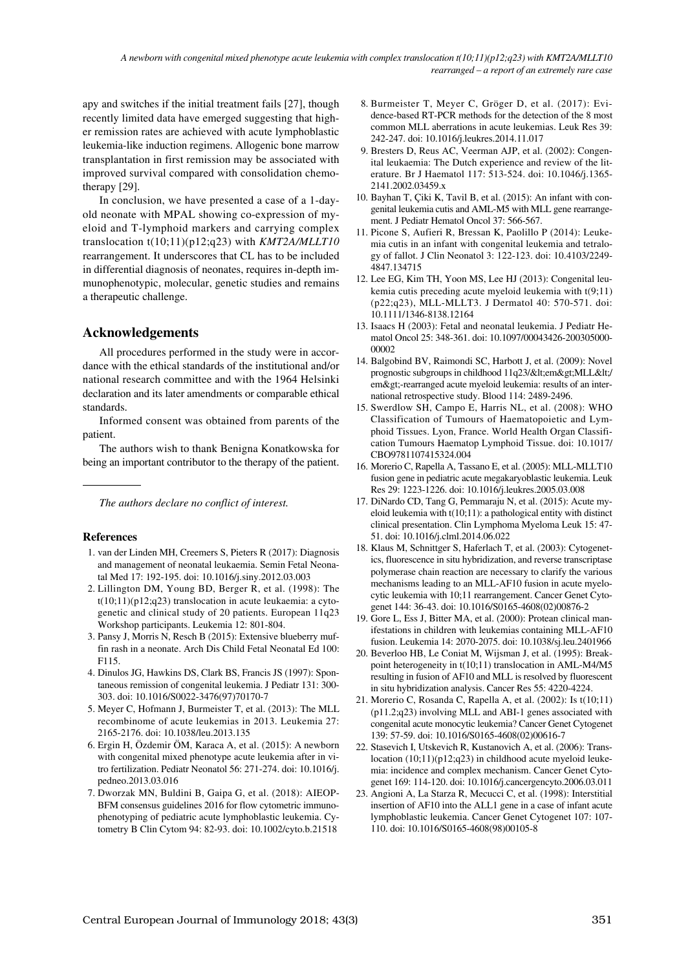apy and switches if the initial treatment fails [27], though recently limited data have emerged suggesting that higher remission rates are achieved with acute lymphoblastic leukemia-like induction regimens. Allogenic bone marrow transplantation in first remission may be associated with improved survival compared with consolidation chemotherapy [29].

In conclusion, we have presented a case of a 1-dayold neonate with MPAL showing co-expression of myeloid and T-lymphoid markers and carrying complex translocation t(10;11)(p12;q23) with *KMT2A/MLLT10*  rearrangement. It underscores that CL has to be included in differential diagnosis of neonates, requires in-depth immunophenotypic, molecular, genetic studies and remains a therapeutic challenge.

## **Acknowledgements**

All procedures performed in the study were in accordance with the ethical standards of the institutional and/or national research committee and with the 1964 Helsinki declaration and its later amendments or comparable ethical standards.

Informed consent was obtained from parents of the patient.

The authors wish to thank Benigna Konatkowska for being an important contributor to the therapy of the patient.

*The authors declare no conflict of interest.*

#### **References**

- 1. van der Linden MH, Creemers S, Pieters R (2017): Diagnosis and management of neonatal leukaemia. Semin Fetal Neonatal Med 17: 192-195. doi: 10.1016/j.siny.2012.03.003
- 2. Lillington DM, Young BD, Berger R, et al. (1998): The t(10;11)(p12;q23) translocation in acute leukaemia: a cytogenetic and clinical study of 20 patients. European 11q23 Workshop participants. Leukemia 12: 801-804.
- 3. Pansy J, Morris N, Resch B (2015): Extensive blueberry muffin rash in a neonate. Arch Dis Child Fetal Neonatal Ed 100: F115.
- 4. Dinulos JG, Hawkins DS, Clark BS, Francis JS (1997): Spontaneous remission of congenital leukemia. J Pediatr 131: 300- 303. doi: 10.1016/S0022-3476(97)70170-7
- 5. Meyer C, Hofmann J, Burmeister T, et al. (2013): The MLL recombinome of acute leukemias in 2013. Leukemia 27: 2165-2176. doi: 10.1038/leu.2013.135
- 6. Ergin H, Özdemir ÖM, Karaca A, et al. (2015): A newborn with congenital mixed phenotype acute leukemia after in vitro fertilization. Pediatr Neonatol 56: 271-274. doi: 10.1016/j. pedneo.2013.03.016
- 7. Dworzak MN, Buldini B, Gaipa G, et al. (2018): AIEOP-BFM consensus guidelines 2016 for flow cytometric immunophenotyping of pediatric acute lymphoblastic leukemia. Cytometry B Clin Cytom 94: 82-93. doi: 10.1002/cyto.b.21518
- 8. Burmeister T, Meyer C, Gröger D, et al. (2017): Evidence-based RT-PCR methods for the detection of the 8 most common MLL aberrations in acute leukemias. Leuk Res 39: 242-247. doi: 10.1016/j.leukres.2014.11.017
- 9. Bresters D, Reus AC, Veerman AJP, et al. (2002): Congenital leukaemia: The Dutch experience and review of the literature. Br J Haematol 117: 513-524. doi: 10.1046/j.1365- 2141.2002.03459.x
- 10. Bayhan T, Çiki K, Tavil B, et al. (2015): An infant with congenital leukemia cutis and AML-M5 with MLL gene rearrangement. J Pediatr Hematol Oncol 37: 566-567.
- 11. Picone S, Aufieri R, Bressan K, Paolillo P (2014): Leukemia cutis in an infant with congenital leukemia and tetralogy of fallot. J Clin Neonatol 3: 122-123. doi: 10.4103/2249- 4847.134715
- 12. Lee EG, Kim TH, Yoon MS, Lee HJ (2013): Congenital leukemia cutis preceding acute myeloid leukemia with t(9;11) (p22;q23), MLL-MLLT3. J Dermatol 40: 570-571. doi: 10.1111/1346-8138.12164
- 13. Isaacs H (2003): Fetal and neonatal leukemia. J Pediatr Hematol Oncol 25: 348-361. doi: 10.1097/00043426-200305000- 00002
- 14. Balgobind BV, Raimondi SC, Harbott J, et al. (2009): Novel prognostic subgroups in childhood 11q23/<em&gt;MLL&lt;/ em>-rearranged acute myeloid leukemia: results of an international retrospective study. Blood 114: 2489-2496.
- 15. Swerdlow SH, Campo E, Harris NL, et al. (2008): WHO Classification of Tumours of Haematopoietic and Lymphoid Tissues. Lyon, France. World Health Organ Classification Tumours Haematop Lymphoid Tissue. doi: 10.1017/ CBO9781107415324.004
- 16. Morerio C, Rapella A, Tassano E, et al. (2005): MLL-MLLT10 fusion gene in pediatric acute megakaryoblastic leukemia. Leuk Res 29: 1223-1226. doi: 10.1016/j.leukres.2005.03.008
- 17. DiNardo CD, Tang G, Pemmaraju N, et al. (2015): Acute myeloid leukemia with t(10;11): a pathological entity with distinct clinical presentation. Clin Lymphoma Myeloma Leuk 15: 47- 51. doi: 10.1016/j.clml.2014.06.022
- 18. Klaus M, Schnittger S, Haferlach T, et al. (2003): Cytogenetics, fluorescence in situ hybridization, and reverse transcriptase polymerase chain reaction are necessary to clarify the various mechanisms leading to an MLL-AF10 fusion in acute myelocytic leukemia with 10;11 rearrangement. Cancer Genet Cytogenet 144: 36-43. doi: 10.1016/S0165-4608(02)00876-2
- 19. Gore L, Ess J, Bitter MA, et al. (2000): Protean clinical manifestations in children with leukemias containing MLL-AF10 fusion. Leukemia 14: 2070-2075. doi: 10.1038/sj.leu.2401966
- 20. Beverloo HB, Le Coniat M, Wijsman J, et al. (1995): Breakpoint heterogeneity in t(10;11) translocation in AML-M4/M5 resulting in fusion of AF10 and MLL is resolved by fluorescent in situ hybridization analysis. Cancer Res 55: 4220-4224.
- 21. Morerio C, Rosanda C, Rapella A, et al. (2002): Is t(10;11) (p11.2;q23) involving MLL and ABI-1 genes associated with congenital acute monocytic leukemia? Cancer Genet Cytogenet 139: 57-59. doi: 10.1016/S0165-4608(02)00616-7
- 22. Stasevich I, Utskevich R, Kustanovich A, et al. (2006): Translocation (10;11)(p12;q23) in childhood acute myeloid leukemia: incidence and complex mechanism. Cancer Genet Cytogenet 169: 114-120. doi: 10.1016/j.cancergencyto.2006.03.011
- 23. Angioni A, La Starza R, Mecucci C, et al. (1998): Interstitial insertion of AF10 into the ALL1 gene in a case of infant acute lymphoblastic leukemia. Cancer Genet Cytogenet 107: 107- 110. doi: 10.1016/S0165-4608(98)00105-8